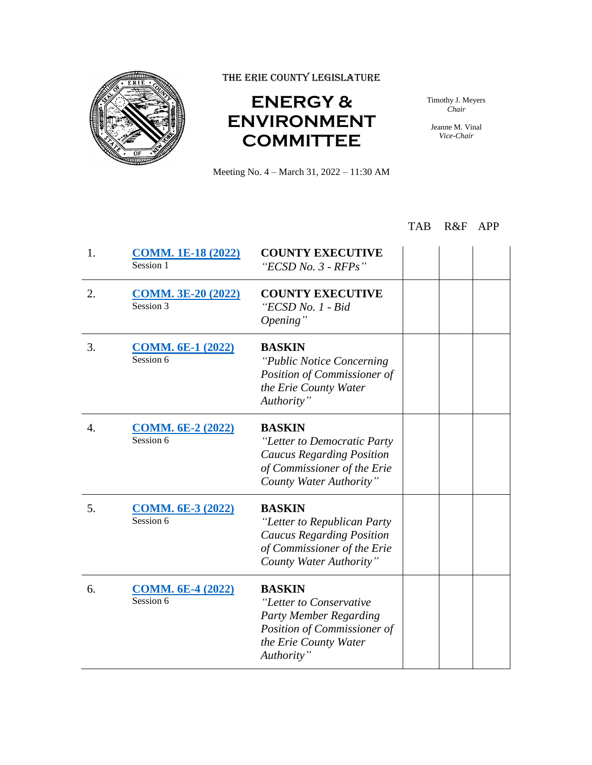

THE ERIE COUNTY LEGISLATURE

## **ENERGY & ENVIRONMENT COMMITTEE**

Timothy J. Meyers *Chair*

Jeanne M. Vinal *Vice-Chair*

Meeting No. 4 – March 31, 2022 – 11:30 AM

## TAB R&F APP

| 1. | <b>COMM. 1E-18 (2022)</b><br>Session 1   | <b>COUNTY EXECUTIVE</b><br>"ECSD No. $3$ - RFPs"                                                                                                |  |
|----|------------------------------------------|-------------------------------------------------------------------------------------------------------------------------------------------------|--|
| 2. | <b>COMM. 3E-20 (2022)</b><br>$Session$ 3 | <b>COUNTY EXECUTIVE</b><br>"ECSD No. 1 - Bid<br>Opening"                                                                                        |  |
| 3. | <b>COMM. 6E-1 (2022)</b><br>Session 6    | <b>BASKIN</b><br>"Public Notice Concerning"<br>Position of Commissioner of<br>the Erie County Water<br>Authority"                               |  |
| 4. | <b>COMM. 6E-2 (2022)</b><br>Session 6    | <b>BASKIN</b><br>"Letter to Democratic Party<br><b>Caucus Regarding Position</b><br>of Commissioner of the Erie<br>County Water Authority"      |  |
| 5. | <b>COMM. 6E-3 (2022)</b><br>Session 6    | <b>BASKIN</b><br>"Letter to Republican Party<br><b>Caucus Regarding Position</b><br>of Commissioner of the Erie<br>County Water Authority"      |  |
| 6. | <b>COMM. 6E-4 (2022)</b><br>Session 6    | <b>BASKIN</b><br>"Letter to Conservative<br><b>Party Member Regarding</b><br>Position of Commissioner of<br>the Erie County Water<br>Authority" |  |